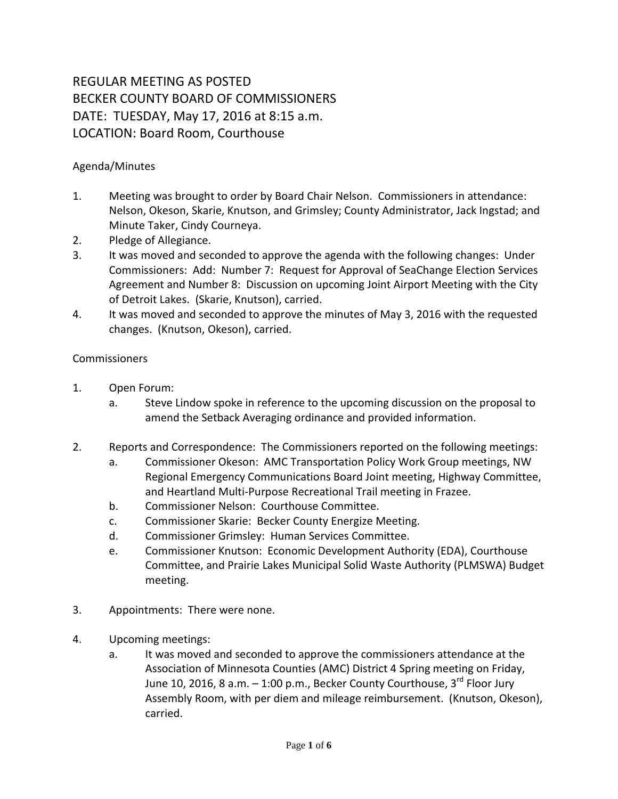## REGULAR MEETING AS POSTED BECKER COUNTY BOARD OF COMMISSIONERS DATE: TUESDAY, May 17, 2016 at 8:15 a.m. LOCATION: Board Room, Courthouse

## Agenda/Minutes

- 1. Meeting was brought to order by Board Chair Nelson. Commissioners in attendance: Nelson, Okeson, Skarie, Knutson, and Grimsley; County Administrator, Jack Ingstad; and Minute Taker, Cindy Courneya.
- 2. Pledge of Allegiance.
- 3. It was moved and seconded to approve the agenda with the following changes: Under Commissioners: Add: Number 7: Request for Approval of SeaChange Election Services Agreement and Number 8: Discussion on upcoming Joint Airport Meeting with the City of Detroit Lakes. (Skarie, Knutson), carried.
- 4. It was moved and seconded to approve the minutes of May 3, 2016 with the requested changes. (Knutson, Okeson), carried.

## Commissioners

- 1. Open Forum:
	- a. Steve Lindow spoke in reference to the upcoming discussion on the proposal to amend the Setback Averaging ordinance and provided information.
- 2. Reports and Correspondence: The Commissioners reported on the following meetings:
	- a. Commissioner Okeson: AMC Transportation Policy Work Group meetings, NW Regional Emergency Communications Board Joint meeting, Highway Committee, and Heartland Multi-Purpose Recreational Trail meeting in Frazee.
	- b. Commissioner Nelson: Courthouse Committee.
	- c. Commissioner Skarie: Becker County Energize Meeting.
	- d. Commissioner Grimsley: Human Services Committee.
	- e. Commissioner Knutson: Economic Development Authority (EDA), Courthouse Committee, and Prairie Lakes Municipal Solid Waste Authority (PLMSWA) Budget meeting.
- 3. Appointments: There were none.
- 4. Upcoming meetings:
	- a. It was moved and seconded to approve the commissioners attendance at the Association of Minnesota Counties (AMC) District 4 Spring meeting on Friday, June 10, 2016, 8 a.m.  $-$  1:00 p.m., Becker County Courthouse, 3<sup>rd</sup> Floor Jury Assembly Room, with per diem and mileage reimbursement. (Knutson, Okeson), carried.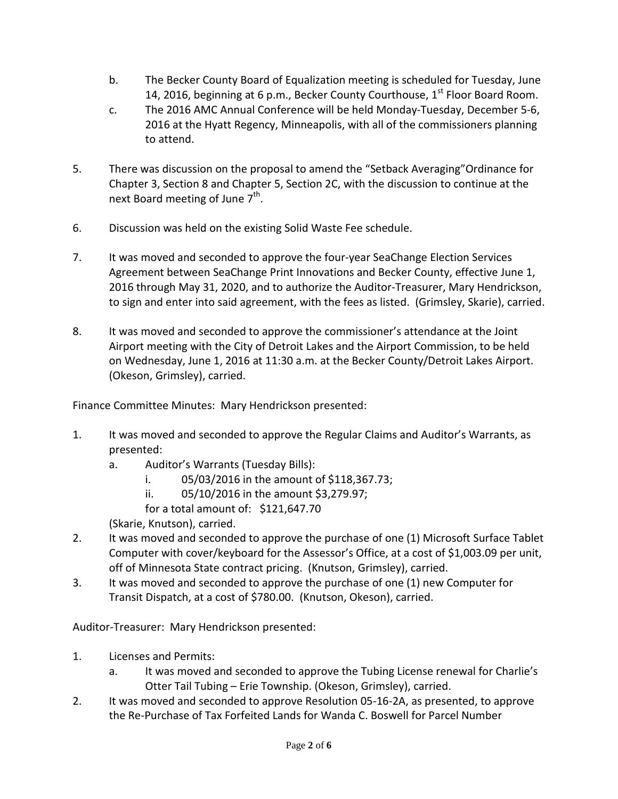- b. The Becker County Board of Equalization meeting is scheduled for Tuesday, June 14, 2016, beginning at 6 p.m., Becker County Courthouse,  $1<sup>st</sup>$  Floor Board Room.
- c. The 2016 AMC Annual Conference will be held Monday-Tuesday, December 5-6, 2016 at the Hyatt Regency, Minneapolis, with all of the commissioners planning to attend.
- 5. There was discussion on the proposal to amend the "Setback Averaging"Ordinance for Chapter 3, Section 8 and Chapter 5, Section 2C, with the discussion to continue at the next Board meeting of June  $7<sup>th</sup>$ .
- 6. Discussion was held on the existing Solid Waste Fee schedule.
- 7. It was moved and seconded to approve the four-year SeaChange Election Services Agreement between SeaChange Print Innovations and Becker County, effective June 1, 2016 through May 31, 2020, and to authorize the Auditor-Treasurer, Mary Hendrickson, to sign and enter into said agreement, with the fees as listed. (Grimsley, Skarie), carried.
- 8. It was moved and seconded to approve the commissioner's attendance at the Joint Airport meeting with the City of Detroit Lakes and the Airport Commission, to be held on Wednesday, June 1, 2016 at 11:30 a.m. at the Becker County/Detroit Lakes Airport. (Okeson, Grimsley), carried.

Finance Committee Minutes: Mary Hendrickson presented:

- 1. It was moved and seconded to approve the Regular Claims and Auditor's Warrants, as presented:
	- a. Auditor's Warrants (Tuesday Bills):
		- i. 05/03/2016 in the amount of \$118,367.73;
		- ii. 05/10/2016 in the amount \$3,279.97;
		- for a total amount of: \$121,647.70

(Skarie, Knutson), carried.

- 2. It was moved and seconded to approve the purchase of one (1) Microsoft Surface Tablet Computer with cover/keyboard for the Assessor's Office, at a cost of \$1,003.09 per unit, off of Minnesota State contract pricing. (Knutson, Grimsley), carried.
- 3. It was moved and seconded to approve the purchase of one (1) new Computer for Transit Dispatch, at a cost of \$780.00. (Knutson, Okeson), carried.

Auditor-Treasurer: Mary Hendrickson presented:

- 1. Licenses and Permits:
	- a. It was moved and seconded to approve the Tubing License renewal for Charlie's Otter Tail Tubing – Erie Township. (Okeson, Grimsley), carried.
- 2. It was moved and seconded to approve Resolution 05-16-2A, as presented, to approve the Re-Purchase of Tax Forfeited Lands for Wanda C. Boswell for Parcel Number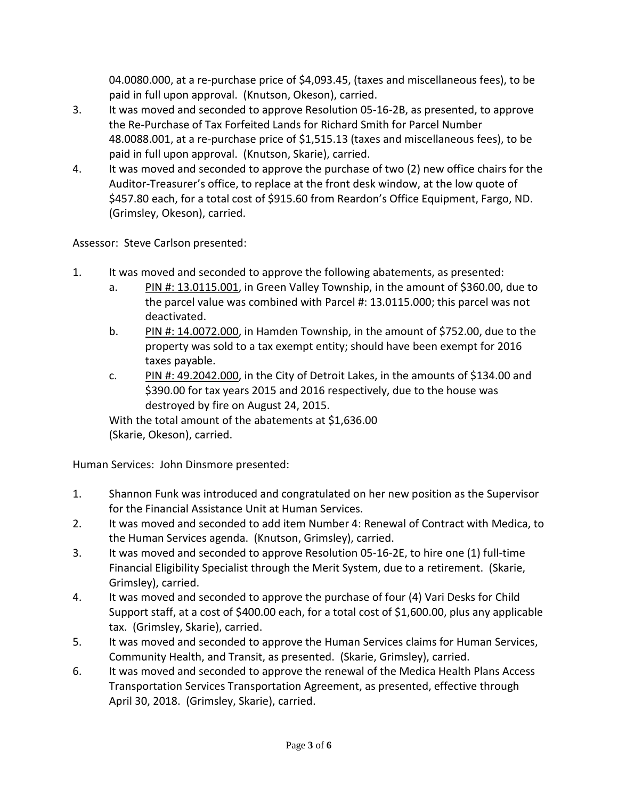04.0080.000, at a re-purchase price of \$4,093.45, (taxes and miscellaneous fees), to be paid in full upon approval. (Knutson, Okeson), carried.

- 3. It was moved and seconded to approve Resolution 05-16-2B, as presented, to approve the Re-Purchase of Tax Forfeited Lands for Richard Smith for Parcel Number 48.0088.001, at a re-purchase price of \$1,515.13 (taxes and miscellaneous fees), to be paid in full upon approval. (Knutson, Skarie), carried.
- 4. It was moved and seconded to approve the purchase of two (2) new office chairs for the Auditor-Treasurer's office, to replace at the front desk window, at the low quote of \$457.80 each, for a total cost of \$915.60 from Reardon's Office Equipment, Fargo, ND. (Grimsley, Okeson), carried.

Assessor: Steve Carlson presented:

- 1. It was moved and seconded to approve the following abatements, as presented:
	- a. PIN #: 13.0115.001, in Green Valley Township, in the amount of \$360.00, due to the parcel value was combined with Parcel #: 13.0115.000; this parcel was not deactivated.
	- b. PIN #: 14.0072.000, in Hamden Township, in the amount of \$752.00, due to the property was sold to a tax exempt entity; should have been exempt for 2016 taxes payable.
	- c. PIN #: 49.2042.000, in the City of Detroit Lakes, in the amounts of \$134.00 and \$390.00 for tax years 2015 and 2016 respectively, due to the house was destroyed by fire on August 24, 2015.

With the total amount of the abatements at \$1,636.00 (Skarie, Okeson), carried.

Human Services: John Dinsmore presented:

- 1. Shannon Funk was introduced and congratulated on her new position as the Supervisor for the Financial Assistance Unit at Human Services.
- 2. It was moved and seconded to add item Number 4: Renewal of Contract with Medica, to the Human Services agenda. (Knutson, Grimsley), carried.
- 3. It was moved and seconded to approve Resolution 05-16-2E, to hire one (1) full-time Financial Eligibility Specialist through the Merit System, due to a retirement. (Skarie, Grimsley), carried.
- 4. It was moved and seconded to approve the purchase of four (4) Vari Desks for Child Support staff, at a cost of \$400.00 each, for a total cost of \$1,600.00, plus any applicable tax. (Grimsley, Skarie), carried.
- 5. It was moved and seconded to approve the Human Services claims for Human Services, Community Health, and Transit, as presented. (Skarie, Grimsley), carried.
- 6. It was moved and seconded to approve the renewal of the Medica Health Plans Access Transportation Services Transportation Agreement, as presented, effective through April 30, 2018. (Grimsley, Skarie), carried.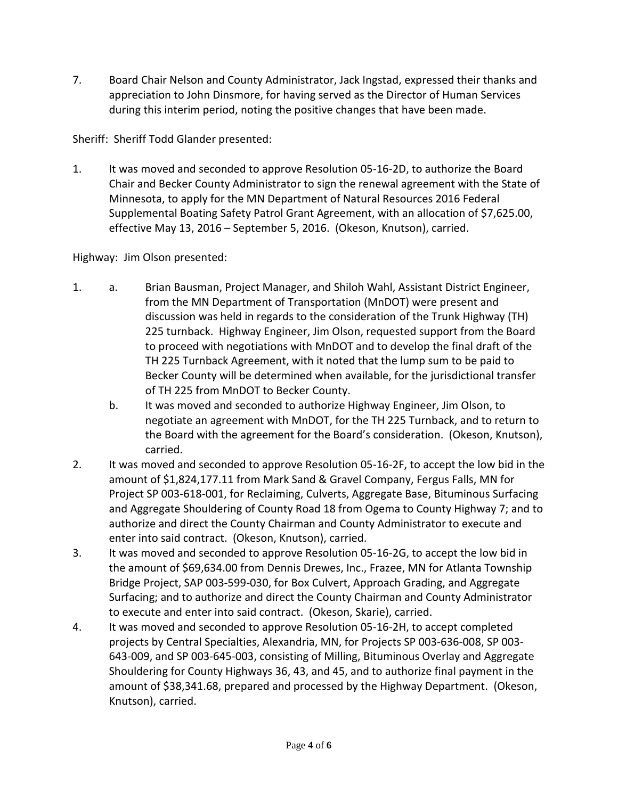7. Board Chair Nelson and County Administrator, Jack Ingstad, expressed their thanks and appreciation to John Dinsmore, for having served as the Director of Human Services during this interim period, noting the positive changes that have been made.

Sheriff: Sheriff Todd Glander presented:

1. It was moved and seconded to approve Resolution 05-16-2D, to authorize the Board Chair and Becker County Administrator to sign the renewal agreement with the State of Minnesota, to apply for the MN Department of Natural Resources 2016 Federal Supplemental Boating Safety Patrol Grant Agreement, with an allocation of \$7,625.00, effective May 13, 2016 – September 5, 2016. (Okeson, Knutson), carried.

Highway: Jim Olson presented:

- 1. a. Brian Bausman, Project Manager, and Shiloh Wahl, Assistant District Engineer, from the MN Department of Transportation (MnDOT) were present and discussion was held in regards to the consideration of the Trunk Highway (TH) 225 turnback. Highway Engineer, Jim Olson, requested support from the Board to proceed with negotiations with MnDOT and to develop the final draft of the TH 225 Turnback Agreement, with it noted that the lump sum to be paid to Becker County will be determined when available, for the jurisdictional transfer of TH 225 from MnDOT to Becker County.
	- b. It was moved and seconded to authorize Highway Engineer, Jim Olson, to negotiate an agreement with MnDOT, for the TH 225 Turnback, and to return to the Board with the agreement for the Board's consideration. (Okeson, Knutson), carried.
- 2. It was moved and seconded to approve Resolution 05-16-2F, to accept the low bid in the amount of \$1,824,177.11 from Mark Sand & Gravel Company, Fergus Falls, MN for Project SP 003-618-001, for Reclaiming, Culverts, Aggregate Base, Bituminous Surfacing and Aggregate Shouldering of County Road 18 from Ogema to County Highway 7; and to authorize and direct the County Chairman and County Administrator to execute and enter into said contract. (Okeson, Knutson), carried.
- 3. It was moved and seconded to approve Resolution 05-16-2G, to accept the low bid in the amount of \$69,634.00 from Dennis Drewes, Inc., Frazee, MN for Atlanta Township Bridge Project, SAP 003-599-030, for Box Culvert, Approach Grading, and Aggregate Surfacing; and to authorize and direct the County Chairman and County Administrator to execute and enter into said contract. (Okeson, Skarie), carried.
- 4. It was moved and seconded to approve Resolution 05-16-2H, to accept completed projects by Central Specialties, Alexandria, MN, for Projects SP 003-636-008, SP 003- 643-009, and SP 003-645-003, consisting of Milling, Bituminous Overlay and Aggregate Shouldering for County Highways 36, 43, and 45, and to authorize final payment in the amount of \$38,341.68, prepared and processed by the Highway Department. (Okeson, Knutson), carried.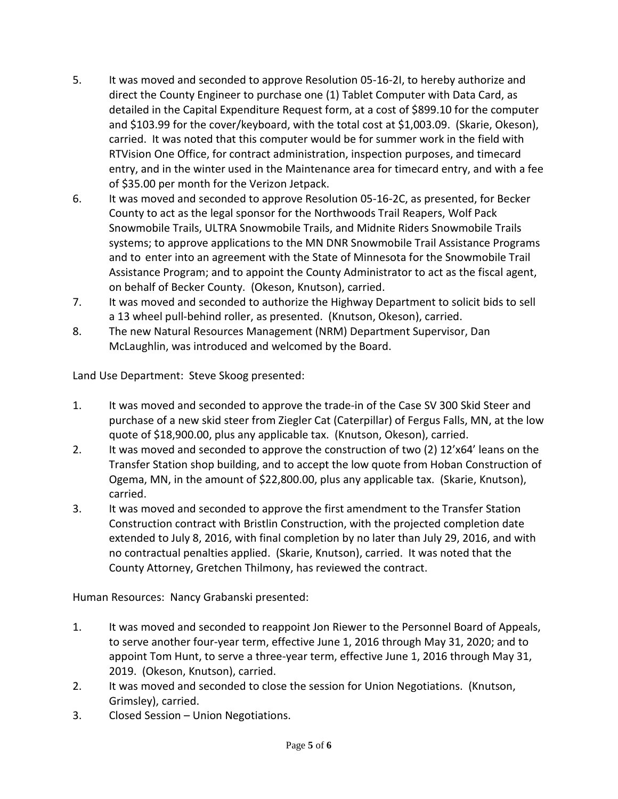- 5. It was moved and seconded to approve Resolution 05-16-2I, to hereby authorize and direct the County Engineer to purchase one (1) Tablet Computer with Data Card, as detailed in the Capital Expenditure Request form, at a cost of \$899.10 for the computer and \$103.99 for the cover/keyboard, with the total cost at \$1,003.09. (Skarie, Okeson), carried. It was noted that this computer would be for summer work in the field with RTVision One Office, for contract administration, inspection purposes, and timecard entry, and in the winter used in the Maintenance area for timecard entry, and with a fee of \$35.00 per month for the Verizon Jetpack.
- 6. It was moved and seconded to approve Resolution 05-16-2C, as presented, for Becker County to act as the legal sponsor for the Northwoods Trail Reapers, Wolf Pack Snowmobile Trails, ULTRA Snowmobile Trails, and Midnite Riders Snowmobile Trails systems; to approve applications to the MN DNR Snowmobile Trail Assistance Programs and to enter into an agreement with the State of Minnesota for the Snowmobile Trail Assistance Program; and to appoint the County Administrator to act as the fiscal agent, on behalf of Becker County. (Okeson, Knutson), carried.
- 7. It was moved and seconded to authorize the Highway Department to solicit bids to sell a 13 wheel pull-behind roller, as presented. (Knutson, Okeson), carried.
- 8. The new Natural Resources Management (NRM) Department Supervisor, Dan McLaughlin, was introduced and welcomed by the Board.

Land Use Department: Steve Skoog presented:

- 1. It was moved and seconded to approve the trade-in of the Case SV 300 Skid Steer and purchase of a new skid steer from Ziegler Cat (Caterpillar) of Fergus Falls, MN, at the low quote of \$18,900.00, plus any applicable tax. (Knutson, Okeson), carried.
- 2. It was moved and seconded to approve the construction of two (2) 12'x64' leans on the Transfer Station shop building, and to accept the low quote from Hoban Construction of Ogema, MN, in the amount of \$22,800.00, plus any applicable tax. (Skarie, Knutson), carried.
- 3. It was moved and seconded to approve the first amendment to the Transfer Station Construction contract with Bristlin Construction, with the projected completion date extended to July 8, 2016, with final completion by no later than July 29, 2016, and with no contractual penalties applied. (Skarie, Knutson), carried. It was noted that the County Attorney, Gretchen Thilmony, has reviewed the contract.

Human Resources: Nancy Grabanski presented:

- 1. It was moved and seconded to reappoint Jon Riewer to the Personnel Board of Appeals, to serve another four-year term, effective June 1, 2016 through May 31, 2020; and to appoint Tom Hunt, to serve a three-year term, effective June 1, 2016 through May 31, 2019. (Okeson, Knutson), carried.
- 2. It was moved and seconded to close the session for Union Negotiations. (Knutson, Grimsley), carried.
- 3. Closed Session Union Negotiations.